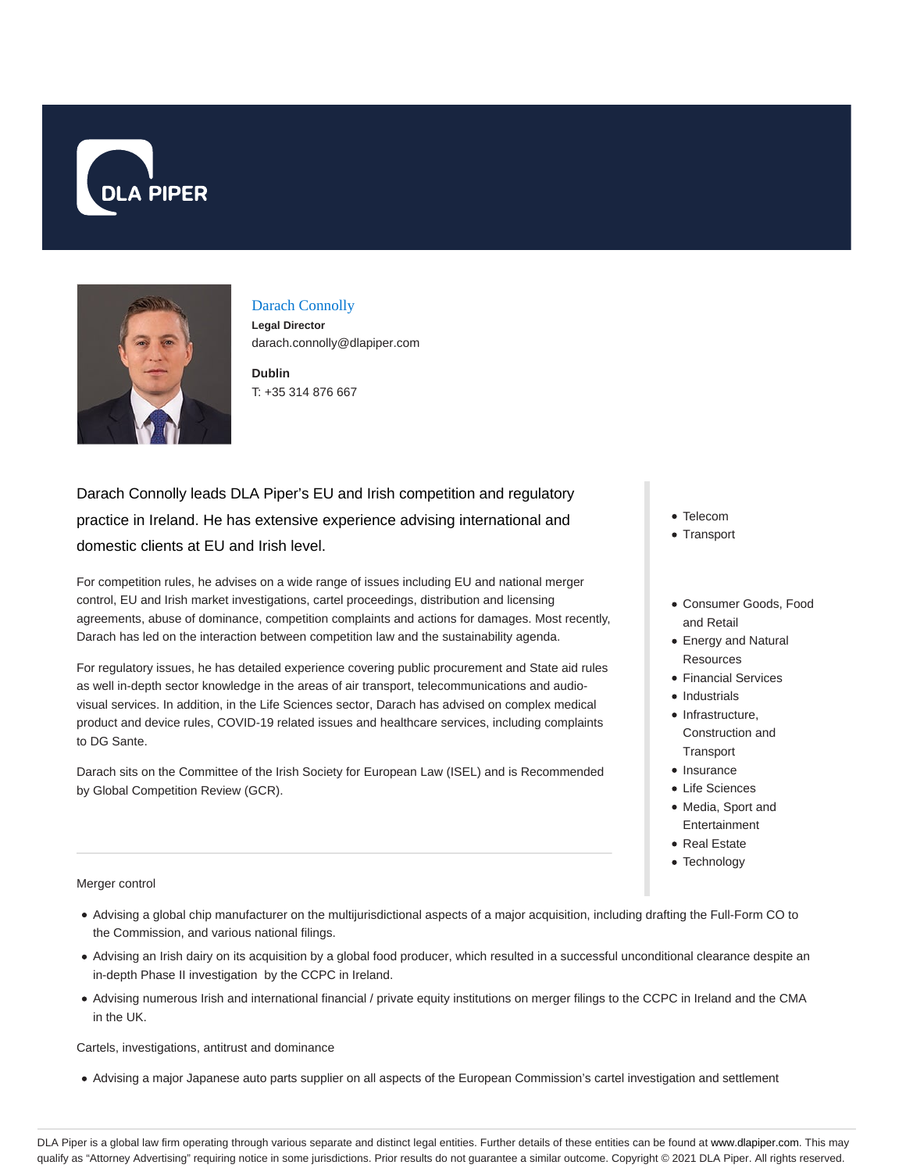



# Darach Connolly

**Legal Director** darach.connolly@dlapiper.com

**Dublin** T: +35 314 876 667

Darach Connolly leads DLA Piper's EU and Irish competition and regulatory practice in Ireland. He has extensive experience advising international and domestic clients at EU and Irish level.

For competition rules, he advises on a wide range of issues including EU and national merger control, EU and Irish market investigations, cartel proceedings, distribution and licensing agreements, abuse of dominance, competition complaints and actions for damages. Most recently, Darach has led on the interaction between competition law and the sustainability agenda.

For regulatory issues, he has detailed experience covering public procurement and State aid rules as well in-depth sector knowledge in the areas of air transport, telecommunications and audiovisual services. In addition, in the Life Sciences sector, Darach has advised on complex medical product and device rules, COVID-19 related issues and healthcare services, including complaints to DG Sante.

Darach sits on the Committee of the Irish Society for European Law (ISEL) and is Recommended by Global Competition Review (GCR).

- Telecom
- Transport
- Consumer Goods, Food and Retail
- Energy and Natural **Resources**
- Financial Services
- Industrials
- $\bullet$  Infrastructure, Construction and **Transport**
- Insurance
- Life Sciences
- Media, Sport and Entertainment
- Real Estate
- Technology

Merger control

- Advising a global chip manufacturer on the multijurisdictional aspects of a major acquisition, including drafting the Full-Form CO to the Commission, and various national filings.
- Advising an Irish dairy on its acquisition by a global food producer, which resulted in a successful unconditional clearance despite an in-depth Phase II investigation by the CCPC in Ireland.
- Advising numerous Irish and international financial / private equity institutions on merger filings to the CCPC in Ireland and the CMA in the UK.

Cartels, investigations, antitrust and dominance

Advising a major Japanese auto parts supplier on all aspects of the European Commission's cartel investigation and settlement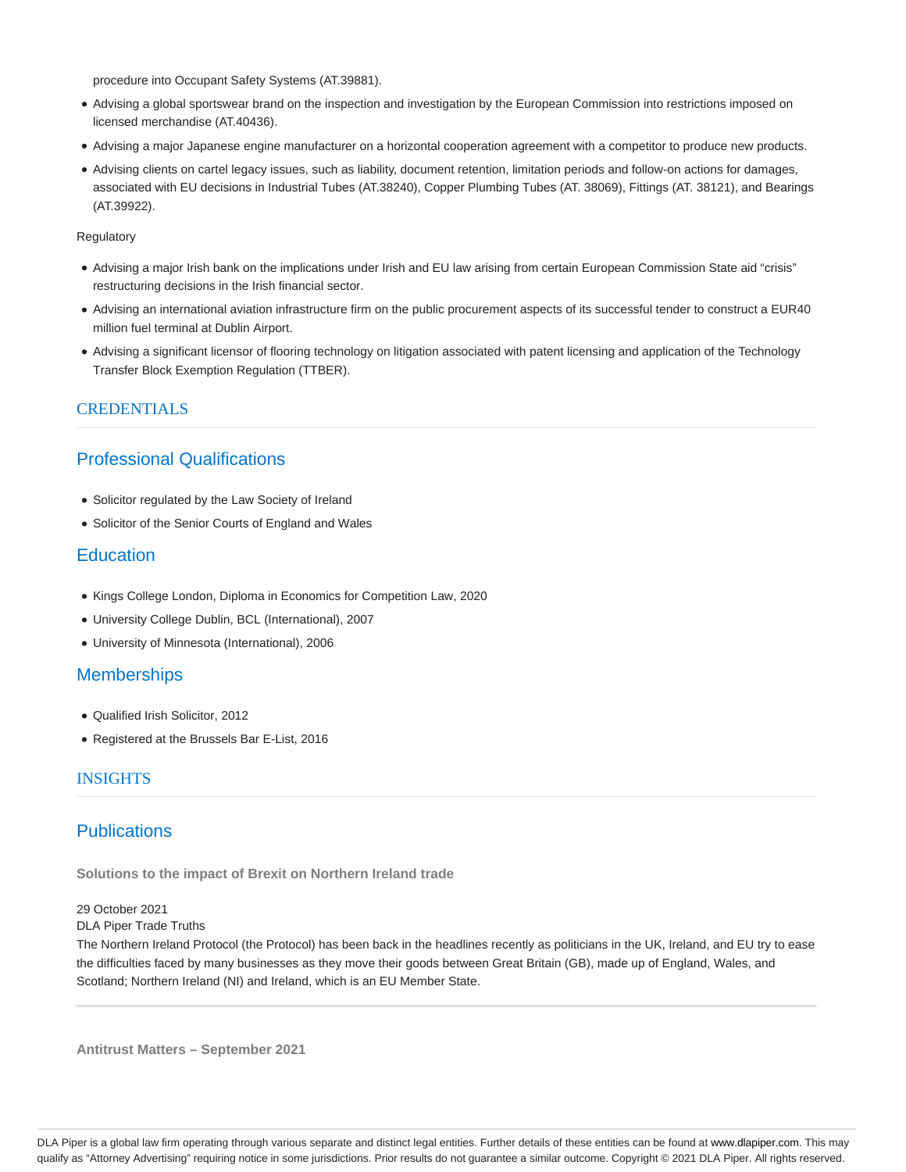procedure into Occupant Safety Systems (AT.39881).

- Advising a global sportswear brand on the inspection and investigation by the European Commission into restrictions imposed on licensed merchandise (AT.40436).
- Advising a major Japanese engine manufacturer on a horizontal cooperation agreement with a competitor to produce new products.
- Advising clients on cartel legacy issues, such as liability, document retention, limitation periods and follow-on actions for damages, associated with EU decisions in Industrial Tubes (AT.38240), Copper Plumbing Tubes (AT. 38069), Fittings (AT. 38121), and Bearings (AT.39922).

**Regulatory** 

- Advising a major Irish bank on the implications under Irish and EU law arising from certain European Commission State aid "crisis" restructuring decisions in the Irish financial sector.
- Advising an international aviation infrastructure firm on the public procurement aspects of its successful tender to construct a EUR40 million fuel terminal at Dublin Airport.
- Advising a significant licensor of flooring technology on litigation associated with patent licensing and application of the Technology Transfer Block Exemption Regulation (TTBER).

## **CREDENTIALS**

# Professional Qualifications

- Solicitor regulated by the Law Society of Ireland
- Solicitor of the Senior Courts of England and Wales

## **Education**

- Kings College London, Diploma in Economics for Competition Law, 2020
- University College Dublin, BCL (International), 2007
- University of Minnesota (International), 2006

## **Memberships**

- Qualified Irish Solicitor, 2012
- Registered at the Brussels Bar E-List, 2016

## **INSIGHTS**

## **Publications**

**Solutions to the impact of Brexit on Northern Ireland trade**

29 October 2021

DLA Piper Trade Truths

The Northern Ireland Protocol (the Protocol) has been back in the headlines recently as politicians in the UK, Ireland, and EU try to ease the difficulties faced by many businesses as they move their goods between Great Britain (GB), made up of England, Wales, and Scotland; Northern Ireland (NI) and Ireland, which is an EU Member State.

**Antitrust Matters – September 2021**

DLA Piper is a global law firm operating through various separate and distinct legal entities. Further details of these entities can be found at www.dlapiper.com. This may qualify as "Attorney Advertising" requiring notice in some jurisdictions. Prior results do not guarantee a similar outcome. Copyright © 2021 DLA Piper. All rights reserved.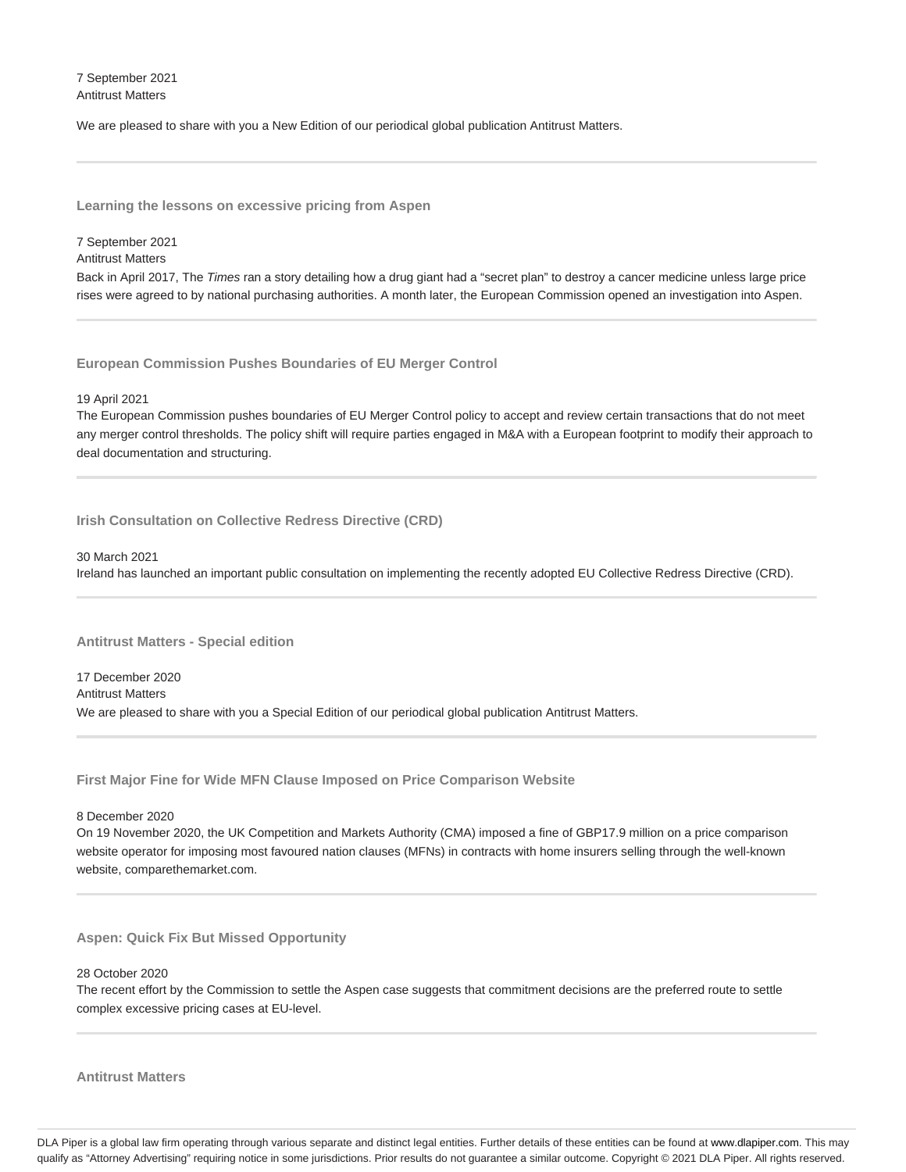7 September 2021 Antitrust Matters

We are pleased to share with you a New Edition of our periodical global publication Antitrust Matters.

**Learning the lessons on excessive pricing from Aspen**

#### 7 September 2021

Antitrust Matters

Back in April 2017, The Times ran a story detailing how a drug giant had a "secret plan" to destroy a cancer medicine unless large price rises were agreed to by national purchasing authorities. A month later, the European Commission opened an investigation into Aspen.

**European Commission Pushes Boundaries of EU Merger Control**

### 19 April 2021

The European Commission pushes boundaries of EU Merger Control policy to accept and review certain transactions that do not meet any merger control thresholds. The policy shift will require parties engaged in M&A with a European footprint to modify their approach to deal documentation and structuring.

**Irish Consultation on Collective Redress Directive (CRD)**

#### 30 March 2021

Ireland has launched an important public consultation on implementing the recently adopted EU Collective Redress Directive (CRD).

**Antitrust Matters - Special edition**

17 December 2020 Antitrust Matters We are pleased to share with you a Special Edition of our periodical global publication Antitrust Matters.

**First Major Fine for Wide MFN Clause Imposed on Price Comparison Website**

8 December 2020

On 19 November 2020, the UK Competition and Markets Authority (CMA) imposed a fine of GBP17.9 million on a price comparison website operator for imposing most favoured nation clauses (MFNs) in contracts with home insurers selling through the well-known website, comparethemarket.com.

**Aspen: Quick Fix But Missed Opportunity**

28 October 2020

The recent effort by the Commission to settle the Aspen case suggests that commitment decisions are the preferred route to settle complex excessive pricing cases at EU-level.

### **Antitrust Matters**

DLA Piper is a global law firm operating through various separate and distinct legal entities. Further details of these entities can be found at www.dlapiper.com. This may qualify as "Attorney Advertising" requiring notice in some jurisdictions. Prior results do not guarantee a similar outcome. Copyright © 2021 DLA Piper. All rights reserved.